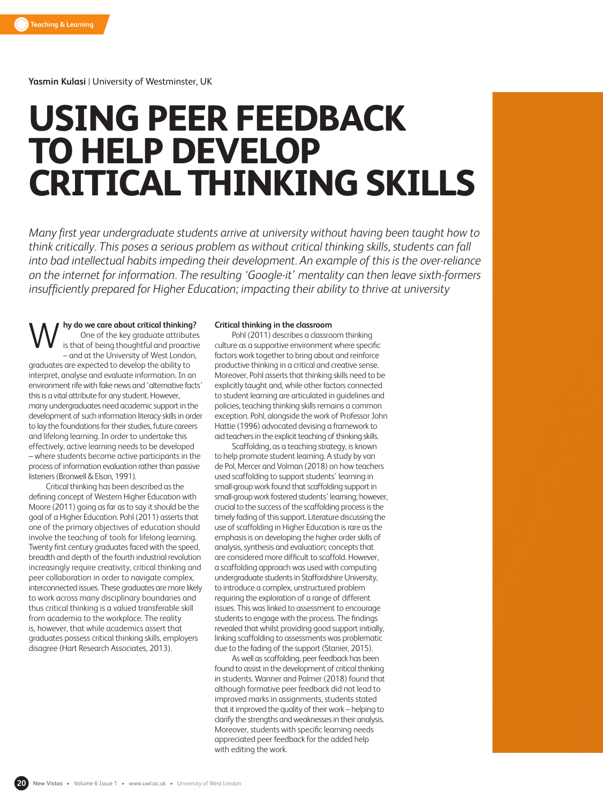**Yasmin Kulasi** | University of Westminster, UK

# **USING PEER FEEDBACK TO HELP DEVELOP CRITICAL THINKING SKILLS**

*Many first year undergraduate students arrive at university without having been taught how to think critically. This poses a serious problem as without critical thinking skills, students can fall into bad intellectual habits impeding their development. An example of this is the over-reliance on the internet for information. The resulting 'Google-it' mentality can then leave sixth-formers insufficiently prepared for Higher Education; impacting their ability to thrive at university*

**hy do we care about critical thinking?**  One of the key graduate attributes is that of being thoughtful and proactive – and at the University of West London, graduates are expected to develop the ability to interpret, analyse and evaluate information. In an environment rife with fake news and 'alternative facts' this is a vital attribute for any student. However, many undergraduates need academic support in the development of such information literacy skills in order to lay the foundations for their studies, future careers and lifelong learning. In order to undertake this effectively, active learning needs to be developed – where students become active participants in the process of information evaluation rather than passive listeners (Bronwell & Elson, 1991). W

Critical thinking has been described as the defining concept of Western Higher Education with Moore (2011) going as far as to say it should be the goal of a Higher Education. Pohl (2011) asserts that one of the primary objectives of education should involve the teaching of tools for lifelong learning. Twenty first century graduates faced with the speed, breadth and depth of the fourth industrial revolution increasingly require creativity, critical thinking and peer collaboration in order to navigate complex, interconnected issues. These graduates are more likely to work across many disciplinary boundaries and thus critical thinking is a valued transferable skill from academia to the workplace. The reality is, however, that while academics assert that graduates possess critical thinking skills, employers disagree (Hart Research Associates, 2013).

# **Critical thinking in the classroom**

Pohl (2011) describes a classroom thinking culture as a supportive environment where specific factors work together to bring about and reinforce productive thinking in a critical and creative sense. Moreover, Pohl asserts that thinking skills need to be explicitly taught and, while other factors connected to student learning are articulated in guidelines and policies, teaching thinking skills remains a common exception. Pohl, alongside the work of Professor John Hattie (1996) advocated devising a framework to aid teachers in the explicit teaching of thinking skills.

Scaffolding, as a teaching strategy, is known to help promote student learning. A study by van de Pol, Mercer and Volman (2018) on how teachers used scaffolding to support students' learning in small-group work found that scaffolding support in small-group work fostered students' learning; however, crucial to the success of the scaffolding process is the timely fading of this support. Literature discussing the use of scaffolding in Higher Education is rare as the emphasis is on developing the higher order skills of analysis, synthesis and evaluation; concepts that are considered more difficult to scaffold. However, a scaffolding approach was used with computing undergraduate students in Staffordshire University, to introduce a complex, unstructured problem requiring the exploration of a range of different issues. This was linked to assessment to encourage students to engage with the process. The findings revealed that whilst providing good support initially, linking scaffolding to assessments was problematic due to the fading of the support (Stanier, 2015).

As well as scaffolding, peer feedback has been found to assist in the development of critical thinking in students. Wanner and Palmer (2018) found that although formative peer feedback did not lead to improved marks in assignments, students stated that it improved the quality of their work – helping to clarify the strengths and weaknesses in their analysis. Moreover, students with specific learning needs appreciated peer feedback for the added help with editing the work.

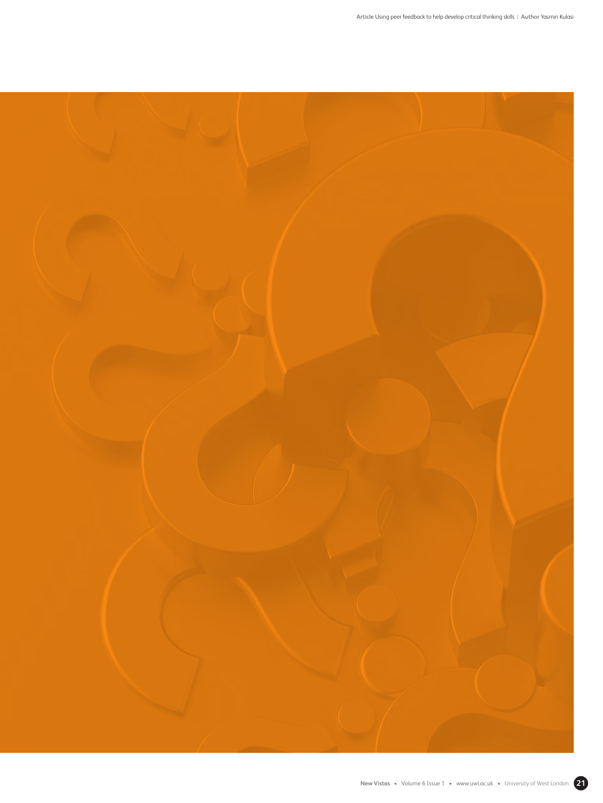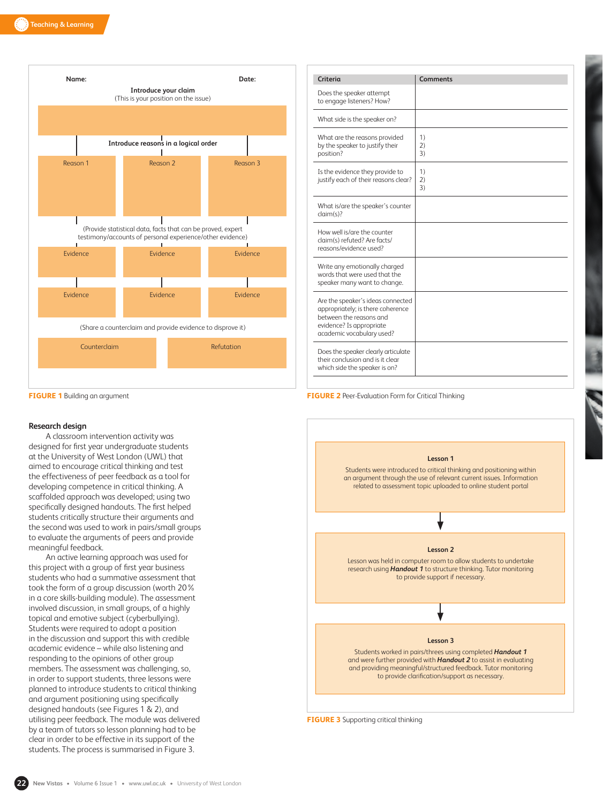

## **Research design**

A classroom intervention activity was designed for first year undergraduate students at the University of West London (UWL) that aimed to encourage critical thinking and test the effectiveness of peer feedback as a tool for developing competence in critical thinking. A scaffolded approach was developed; using two specifically designed handouts. The first helped students critically structure their arguments and the second was used to work in pairs/small groups to evaluate the arguments of peers and provide meaningful feedback.

An active learning approach was used for this project with a group of first year business students who had a summative assessment that took the form of a group discussion (worth 20% in a core skills-building module). The assessment involved discussion, in small groups, of a highly topical and emotive subject (cyberbullying). Students were required to adopt a position in the discussion and support this with credible academic evidence – while also listening and responding to the opinions of other group members. The assessment was challenging, so, in order to support students, three lessons were planned to introduce students to critical thinking and argument positioning using specifically designed handouts (see Figures 1 & 2), and utilising peer feedback. The module was delivered by a team of tutors so lesson planning had to be clear in order to be effective in its support of the students. The process is summarised in Figure 3.

| Criteria                                                                                                                                                   | Comments       |
|------------------------------------------------------------------------------------------------------------------------------------------------------------|----------------|
| Does the speaker attempt<br>to engage listeners? How?                                                                                                      |                |
| What side is the speaker on?                                                                                                                               |                |
| What are the reasons provided<br>by the speaker to justify their<br>position?                                                                              | 1)<br>2)<br>3) |
| Is the evidence they provide to<br>justify each of their reasons clear?                                                                                    | 1)<br>2)<br>3) |
| What is/are the speaker's counter<br>claim(s)?                                                                                                             |                |
| How well is/are the counter<br>claim(s) refuted? Are facts/<br>reasons/evidence used?                                                                      |                |
| Write any emotionally charged<br>words that were used that the<br>speaker many want to change.                                                             |                |
| Are the speaker's ideas connected<br>appropriately; is there coherence<br>between the reasons and<br>evidence? Is appropriate<br>academic vocabulary used? |                |
| Does the speaker clearly articulate<br>their conclusion and is it clear<br>which side the speaker is on?                                                   |                |



**FIGURE 3** Supporting critical thinking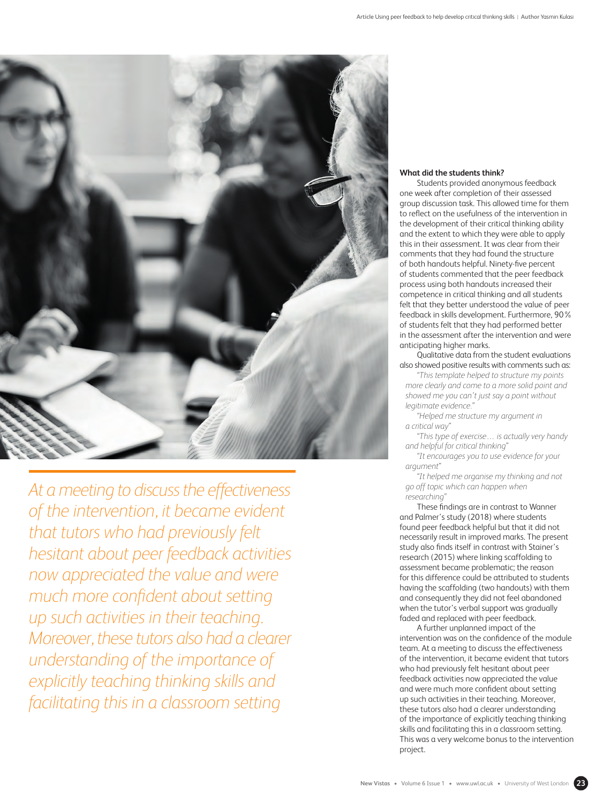

*At a meeting to discuss the effectiveness of the intervention, it became evident that tutors who had previously felt hesitant about peer feedback activities now appreciated the value and were much more confident about setting up such activities in their teaching. Moreover, these tutors also had a clearer understanding of the importance of explicitly teaching thinking skills and facilitating this in a classroom setting*

# **What did the students think?**

Students provided anonymous feedback one week after completion of their assessed group discussion task. This allowed time for them to reflect on the usefulness of the intervention in the development of their critical thinking ability and the extent to which they were able to apply this in their assessment. It was clear from their comments that they had found the structure of both handouts helpful. Ninety-five percent of students commented that the peer feedback process using both handouts increased their competence in critical thinking and all students felt that they better understood the value of peer feedback in skills development. Furthermore, 90% of students felt that they had performed better in the assessment after the intervention and were anticipating higher marks.

Qualitative data from the student evaluations also showed positive results with comments such as:

*"This template helped to structure my points more clearly and come to a more solid point and showed me you can't just say a point without legitimate evidence."*

*"Helped me structure my argument in a critical way"*

*"This type of exercise… is actually very handy and helpful for critical thinking"*

*"It encourages you to use evidence for your argument"*

*"It helped me organise my thinking and not go off topic which can happen when researching"* 

These findings are in contrast to Wanner and Palmer's study (2018) where students found peer feedback helpful but that it did not necessarily result in improved marks. The present study also finds itself in contrast with Stainer's research (2015) where linking scaffolding to assessment became problematic; the reason for this difference could be attributed to students having the scaffolding (two handouts) with them and consequently they did not feel abandoned when the tutor's verbal support was gradually faded and replaced with peer feedback.

A further unplanned impact of the intervention was on the confidence of the module team. At a meeting to discuss the effectiveness of the intervention, it became evident that tutors who had previously felt hesitant about peer feedback activities now appreciated the value and were much more confident about setting up such activities in their teaching. Moreover, these tutors also had a clearer understanding of the importance of explicitly teaching thinking skills and facilitating this in a classroom setting. This was a very welcome bonus to the intervention project.